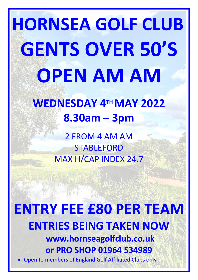# **HORNSEA GOLF CLUB GENTS OVER 50'S OPEN AM AM**

## **WEDNESDAY 4 TH MAY 2022 8.30am – 3pm**

2 FROM 4 AM AM STABLEFORD MAX H/CAP INDEX 24.7

### **ENTRY FEE £80 PER TEAM ENTRIES BEING TAKEN NOW www.hornseagolfclub.co.uk or PRO SHOP 01964 534989** • Open to members of England Golf Affiliated Clubs only